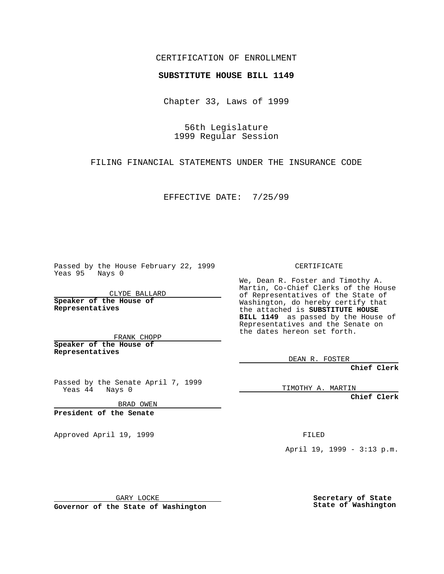### CERTIFICATION OF ENROLLMENT

# **SUBSTITUTE HOUSE BILL 1149**

Chapter 33, Laws of 1999

56th Legislature 1999 Regular Session

FILING FINANCIAL STATEMENTS UNDER THE INSURANCE CODE

EFFECTIVE DATE: 7/25/99

Passed by the House February 22, 1999 Yeas 95 Nays 0

CLYDE BALLARD **Speaker of the House of Representatives**

FRANK CHOPP **Speaker of the House of Representatives**

Passed by the Senate April 7, 1999 Yeas 44 Nays 0

BRAD OWEN

**President of the Senate**

Approved April 19, 1999 **FILED** 

#### CERTIFICATE

We, Dean R. Foster and Timothy A. Martin, Co-Chief Clerks of the House of Representatives of the State of Washington, do hereby certify that the attached is **SUBSTITUTE HOUSE BILL 1149** as passed by the House of Representatives and the Senate on the dates hereon set forth.

DEAN R. FOSTER

**Chief Clerk**

TIMOTHY A. MARTIN

**Chief Clerk**

April 19, 1999 - 3:13 p.m.

GARY LOCKE

**Governor of the State of Washington**

**Secretary of State State of Washington**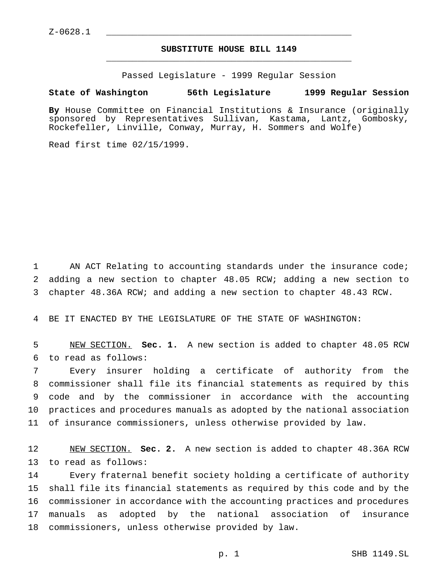## **SUBSTITUTE HOUSE BILL 1149** \_\_\_\_\_\_\_\_\_\_\_\_\_\_\_\_\_\_\_\_\_\_\_\_\_\_\_\_\_\_\_\_\_\_\_\_\_\_\_\_\_\_\_\_\_\_\_

Passed Legislature - 1999 Regular Session

#### **State of Washington 56th Legislature 1999 Regular Session**

**By** House Committee on Financial Institutions & Insurance (originally sponsored by Representatives Sullivan, Kastama, Lantz, Gombosky, Rockefeller, Linville, Conway, Murray, H. Sommers and Wolfe)

Read first time 02/15/1999.

 AN ACT Relating to accounting standards under the insurance code; adding a new section to chapter 48.05 RCW; adding a new section to chapter 48.36A RCW; and adding a new section to chapter 48.43 RCW.

BE IT ENACTED BY THE LEGISLATURE OF THE STATE OF WASHINGTON:

 NEW SECTION. **Sec. 1.** A new section is added to chapter 48.05 RCW to read as follows:

 Every insurer holding a certificate of authority from the commissioner shall file its financial statements as required by this code and by the commissioner in accordance with the accounting practices and procedures manuals as adopted by the national association of insurance commissioners, unless otherwise provided by law.

 NEW SECTION. **Sec. 2.** A new section is added to chapter 48.36A RCW to read as follows:

 Every fraternal benefit society holding a certificate of authority shall file its financial statements as required by this code and by the commissioner in accordance with the accounting practices and procedures manuals as adopted by the national association of insurance commissioners, unless otherwise provided by law.